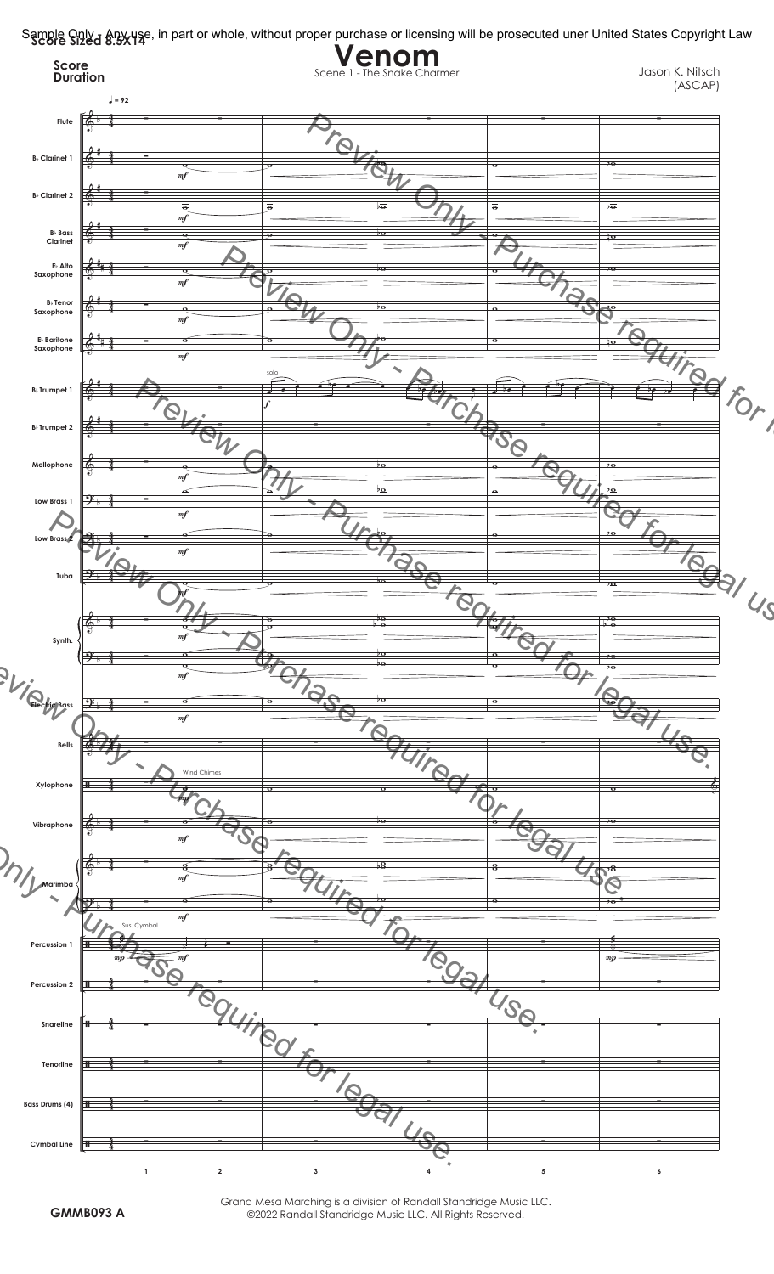

Grand Mesa Marching is a division of Randall Standridge Music LLC. **GMMB093 A** ©2022 Randall Standridge Music LLC. All Rights Reserved.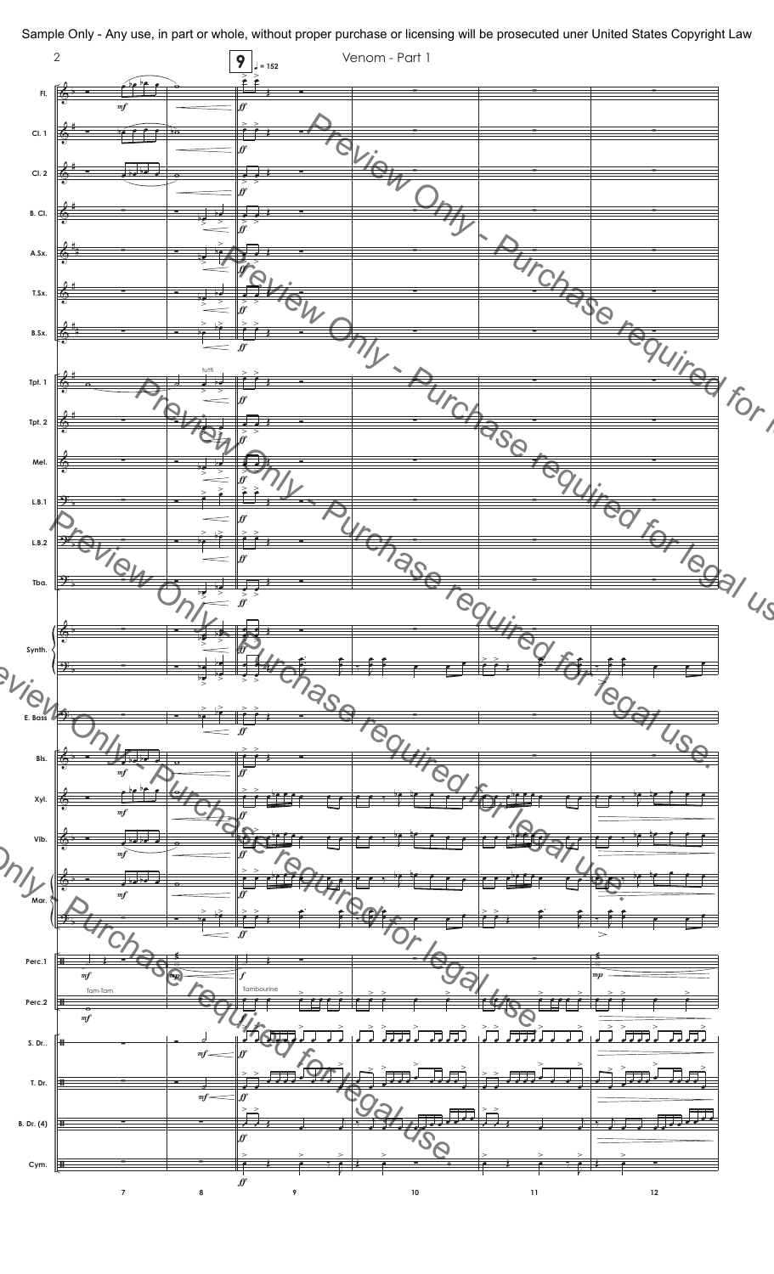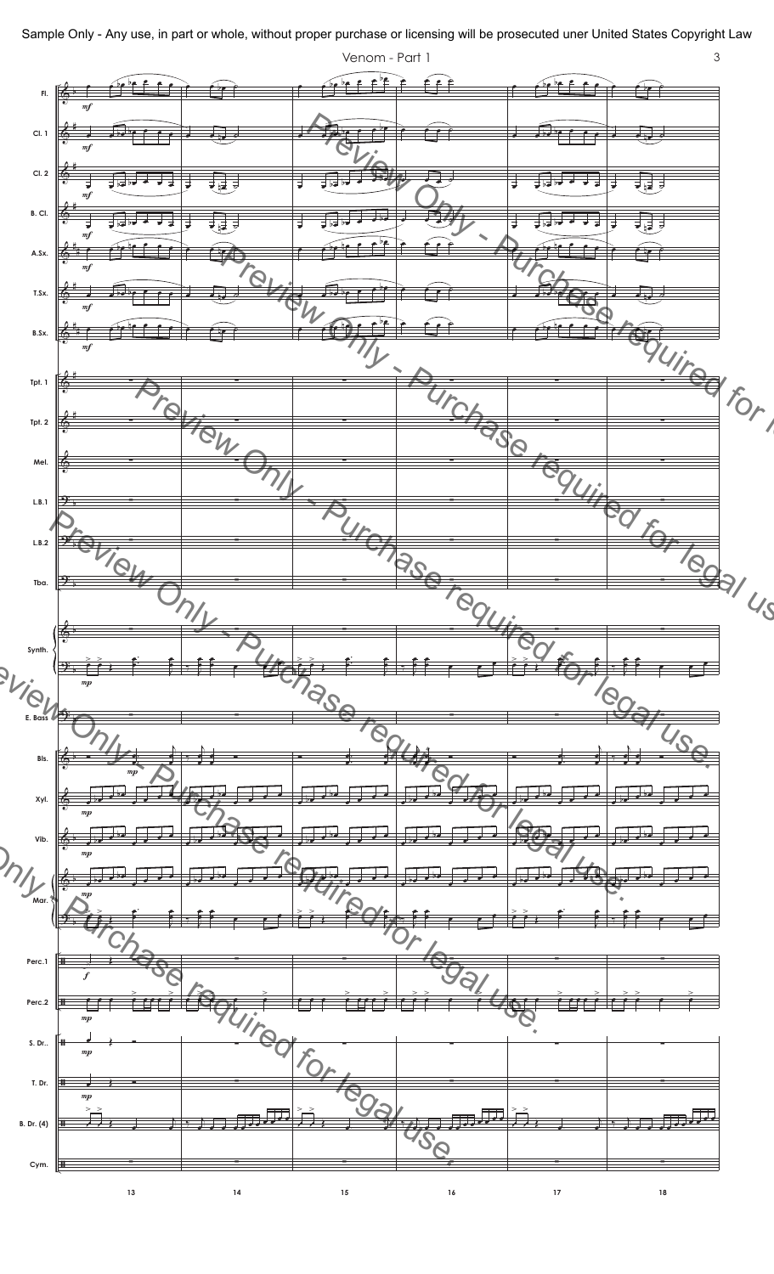

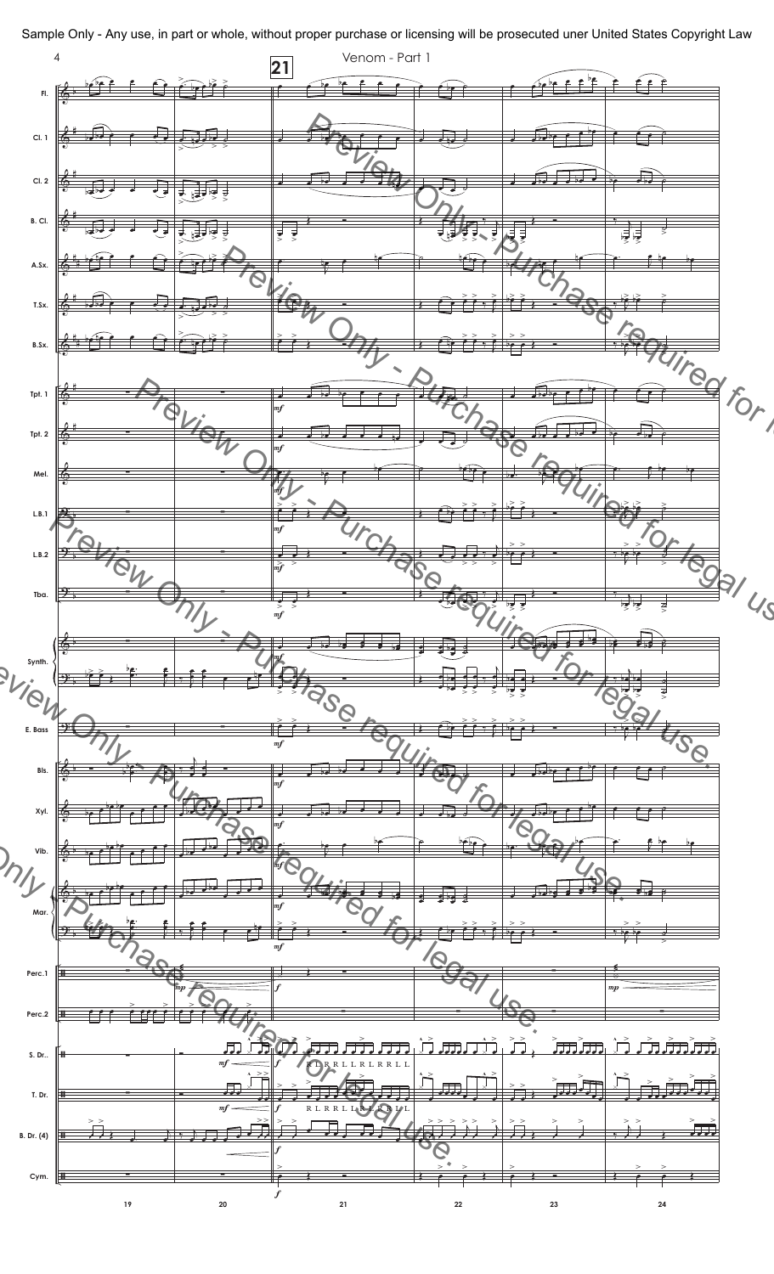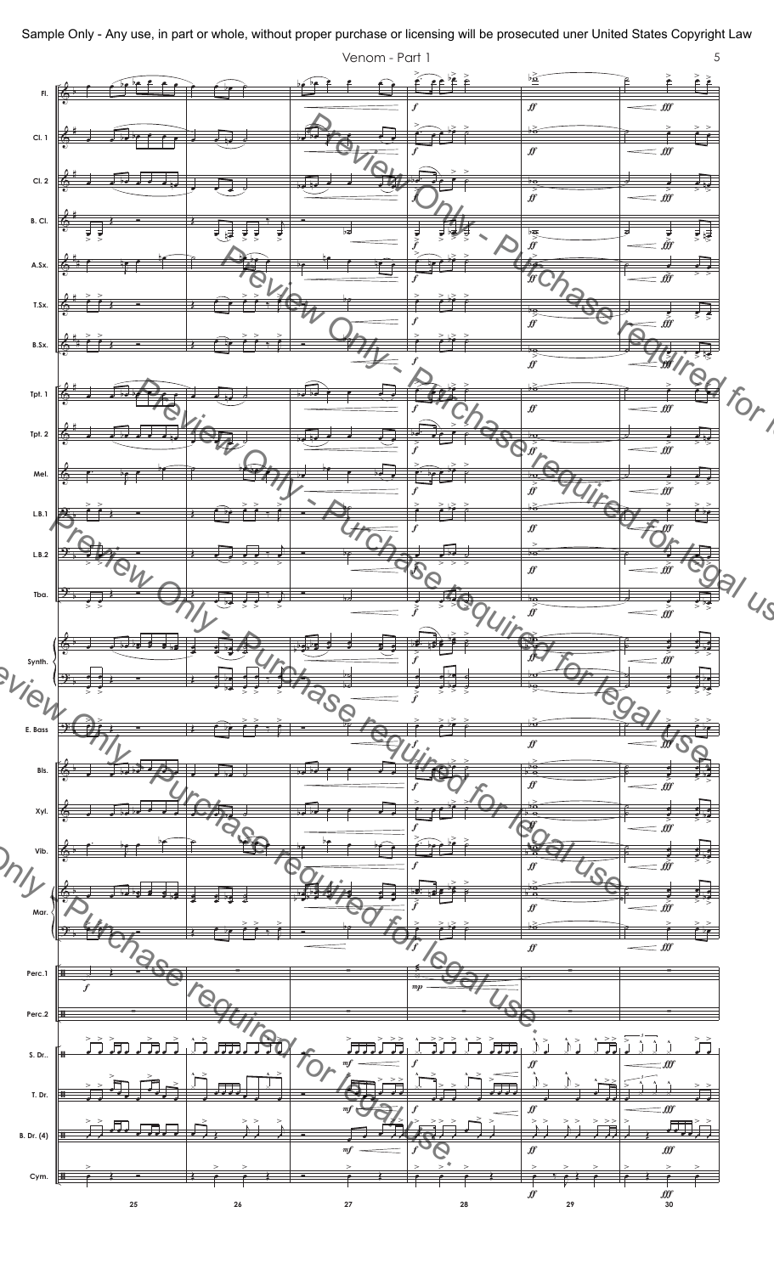

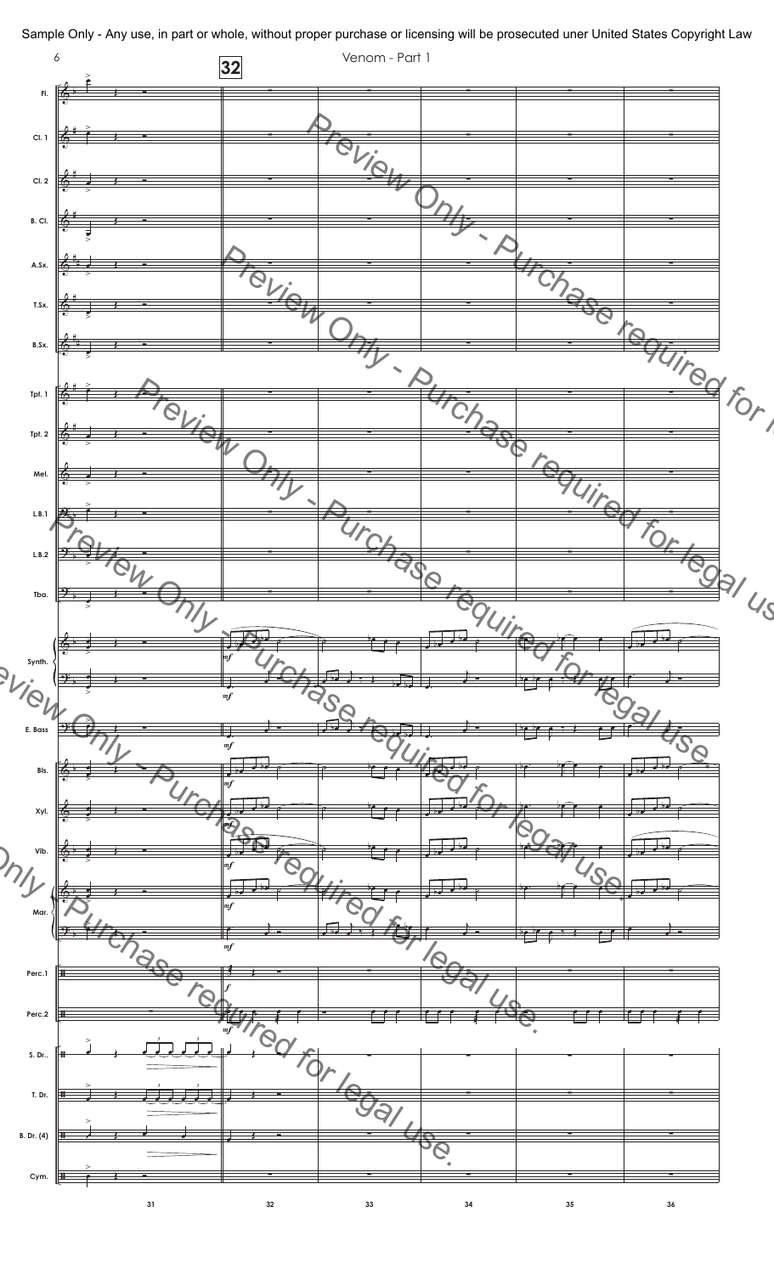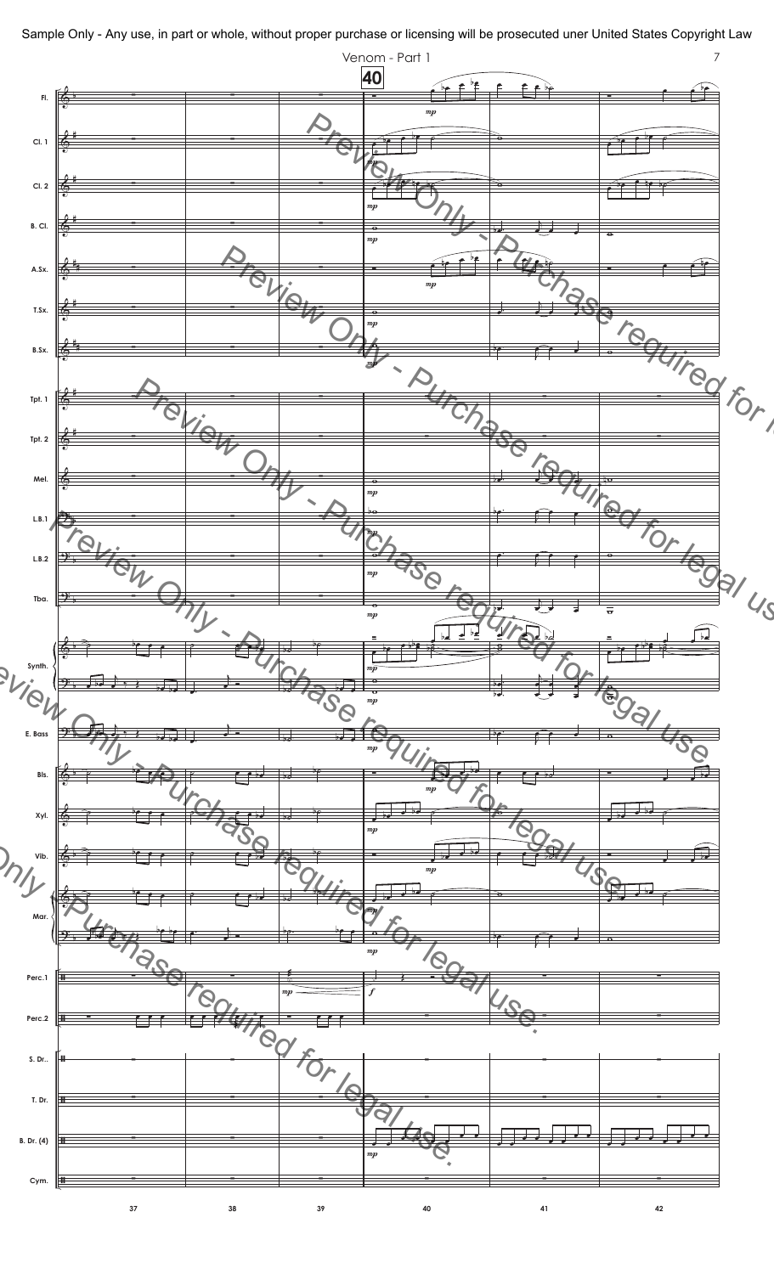

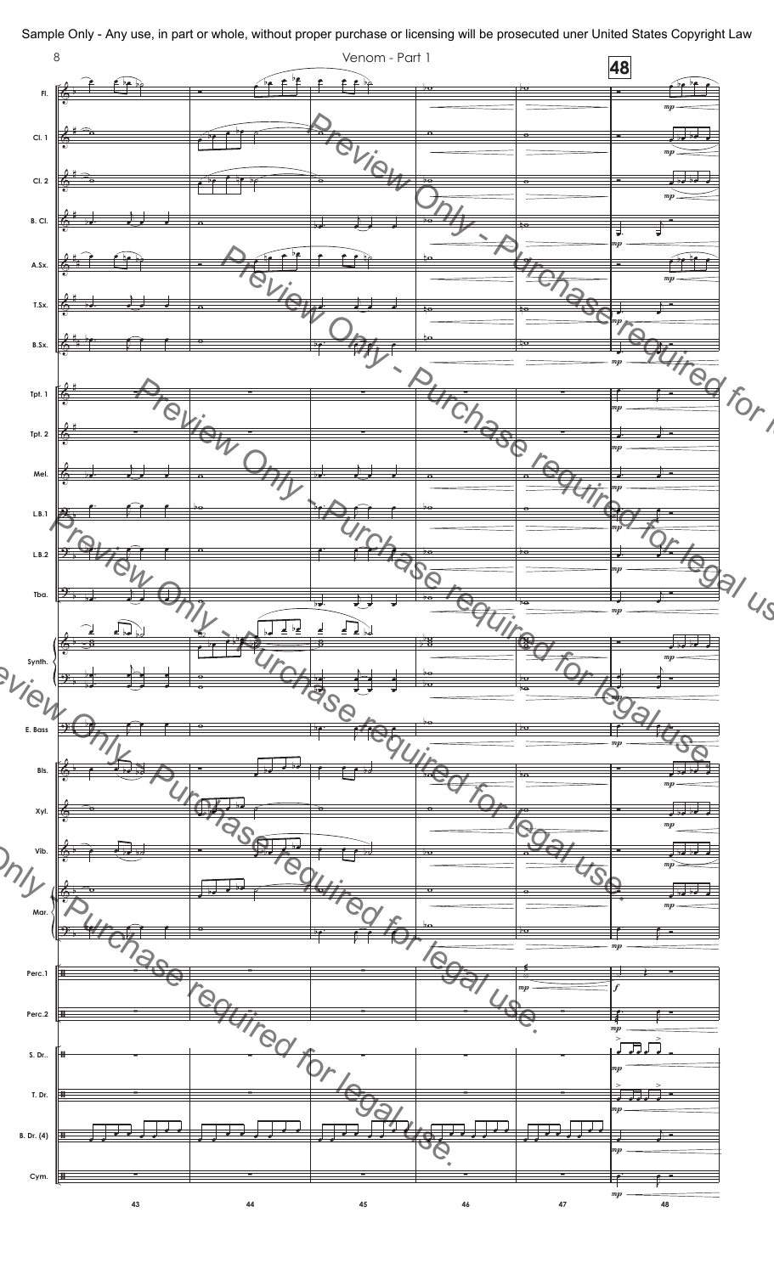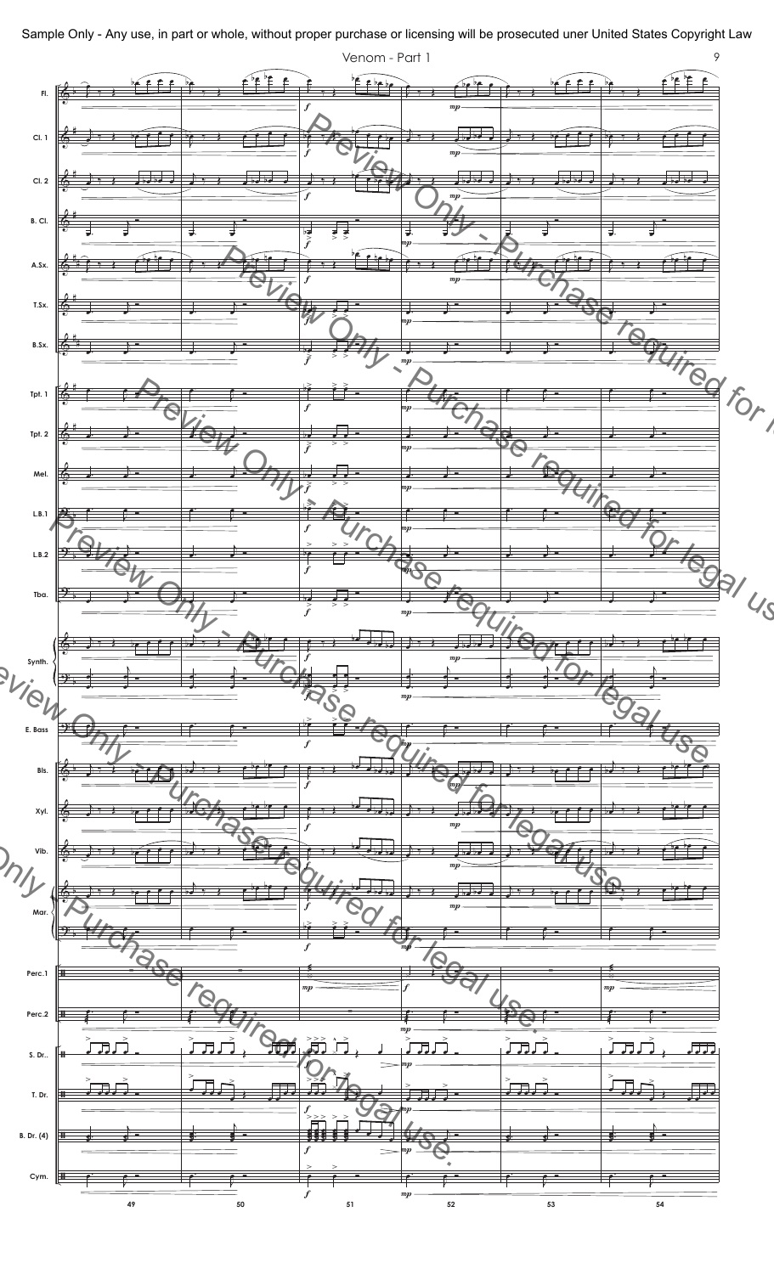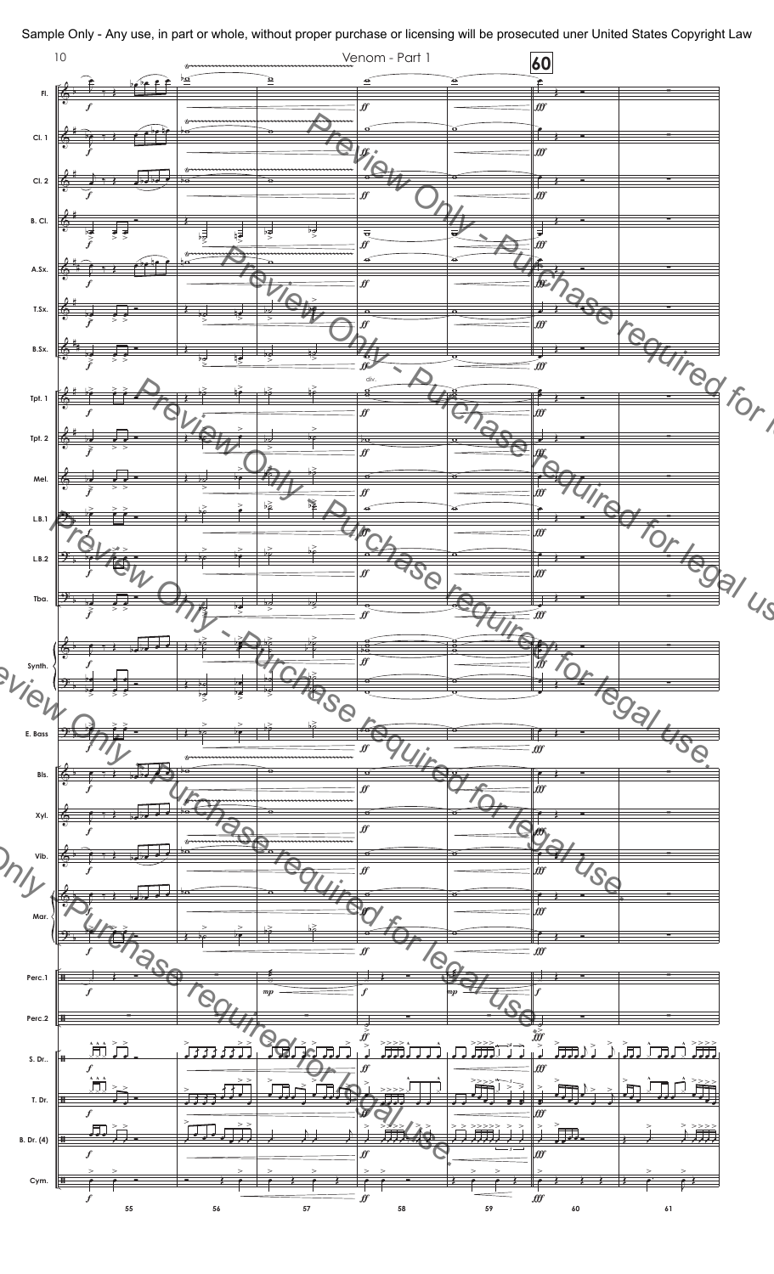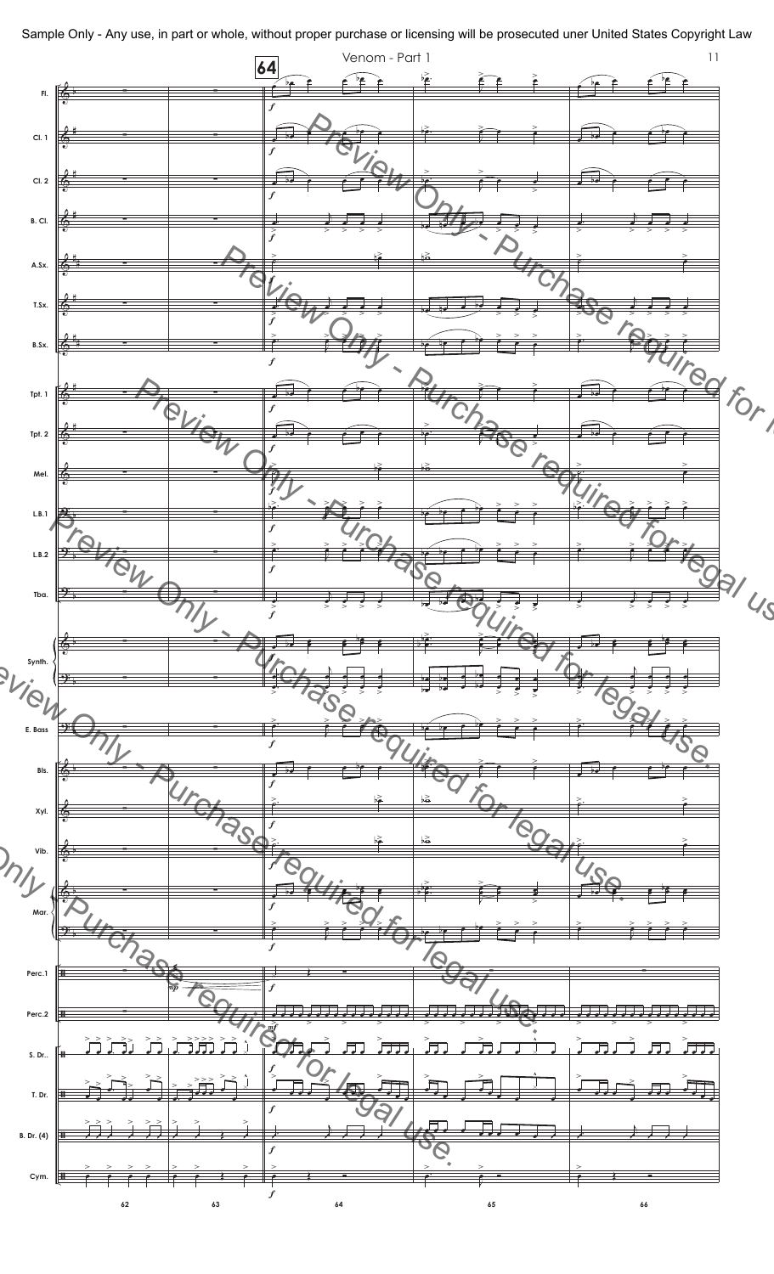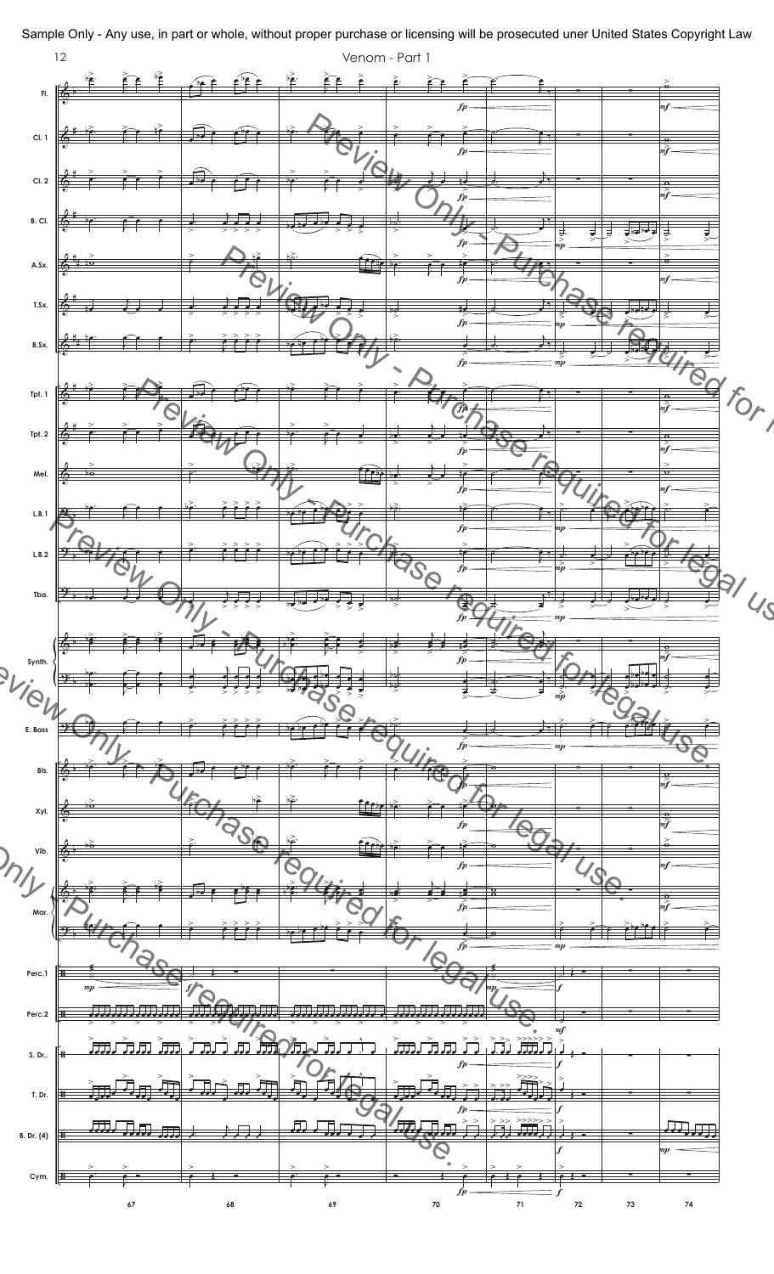